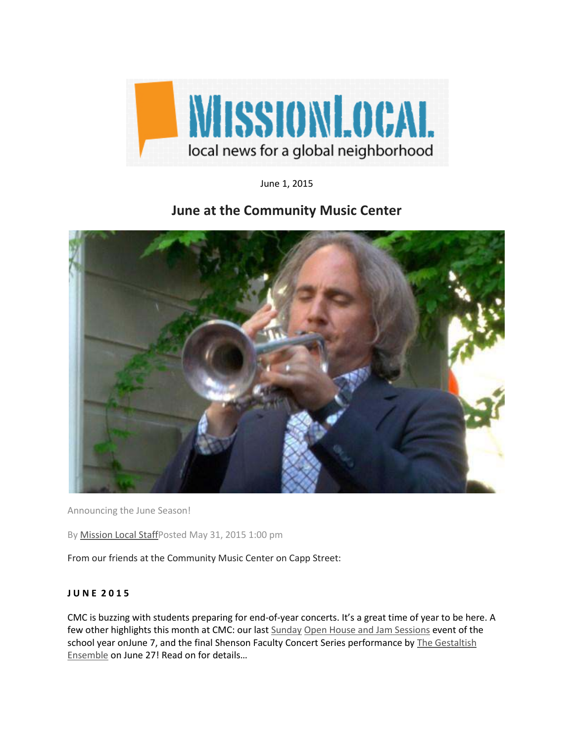

June 1, 2015

## **June at the Community Music Center**



Announcing the June Season!

By [Mission Local StaffP](http://missionlocal.org/author/staff/)osted May 31, 2015 1:00 pm

From our friends at the Community Music Center on Capp Street:

## **J U N E 2 0 1 5**

CMC is buzzing with students preparing for end-of-year concerts. It's a great time of year to be here. A few other highlights this month at CMC: our last [Sunday Open House and Jam Sessions](http://cts.vresp.com/c/?CommunityMusicCenter/f76d10f9ba/e911b4e0b2/b69541e0ed) event of the school year onJune 7, and the final Shenson Faculty Concert Series performance by The Gestaltish [Ensemble](http://cts.vresp.com/c/?CommunityMusicCenter/f76d10f9ba/e911b4e0b2/de231a5e36) on June 27! Read on for details...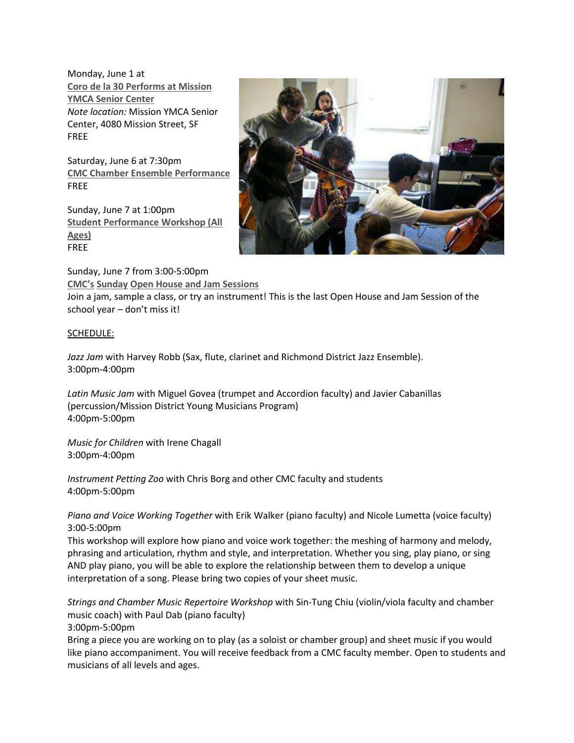Monday, June 1 at **[Coro de la 30 Performs at Mission](http://cts.vresp.com/c/?CommunityMusicCenter/f76d10f9ba/e911b4e0b2/d7c3f400ec)  [YMCA Senior Center](http://cts.vresp.com/c/?CommunityMusicCenter/f76d10f9ba/e911b4e0b2/d7c3f400ec)** *Note location:* Mission YMCA Senior Center, 4080 Mission Street, SF FREE

Saturday, June 6 at 7:30pm **[CMC Chamber Ensemble Performance](http://cts.vresp.com/c/?CommunityMusicCenter/f76d10f9ba/e911b4e0b2/b36eaba1d9)** FREE

Sunday, June 7 at 1:00pm **[Student Performance Workshop \(All](http://cts.vresp.com/c/?CommunityMusicCenter/f76d10f9ba/e911b4e0b2/26252580e8)  [Ages\)](http://cts.vresp.com/c/?CommunityMusicCenter/f76d10f9ba/e911b4e0b2/26252580e8)** FREE



Sunday, June 7 from 3:00-5:00pm **CMC's [Sunday Open House and Jam Sessions](http://cts.vresp.com/c/?CommunityMusicCenter/f76d10f9ba/e911b4e0b2/c471ea4efc)**

Join a jam, sample a class, or try an instrument! This is the last Open House and Jam Session of the school year - don't miss it!

## SCHEDULE:

*Jazz Jam* with Harvey Robb (Sax, flute, clarinet and Richmond District Jazz Ensemble). 3:00pm-4:00pm

*Latin Music Jam* with Miguel Govea (trumpet and Accordion faculty) and Javier Cabanillas (percussion/Mission District Young Musicians Program) 4:00pm-5:00pm

*Music for Children* with Irene Chagall 3:00pm-4:00pm

*Instrument Petting Zoo* with Chris Borg and other CMC faculty and students 4:00pm-5:00pm

*Piano and Voice Working Together* with Erik Walker (piano faculty) and Nicole Lumetta (voice faculty) 3:00-5:00pm

This workshop will explore how piano and voice work together: the meshing of harmony and melody, phrasing and articulation, rhythm and style, and interpretation. Whether you sing, play piano, or sing AND play piano, you will be able to explore the relationship between them to develop a unique interpretation of a song. Please bring two copies of your sheet music.

*Strings and Chamber Music Repertoire Workshop* with Sin-Tung Chiu (violin/viola faculty and chamber music coach) with Paul Dab (piano faculty)

3:00pm-5:00pm

Bring a piece you are working on to play (as a soloist or chamber group) and sheet music if you would like piano accompaniment. You will receive feedback from a CMC faculty member. Open to students and musicians of all levels and ages.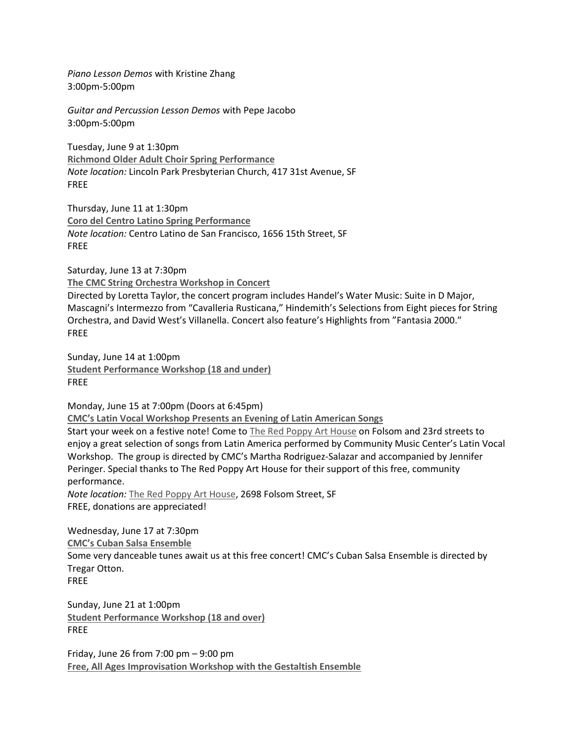Piano Lesson Demos with Kristine Zhang 3:00pm-5:00pm

Guitar and Percussion Lesson Demos with Pepe Jacobo 3:00pm-5:00pm

Tuesday, June 9 at 1:30pm **Richmond Older Adult Choir Spring Performance** Note location: Lincoln Park Presbyterian Church, 417 31st Avenue, SF **FREE** 

Thursday, June 11 at 1:30pm **Coro del Centro Latino Spring Performance** Note location: Centro Latino de San Francisco, 1656 15th Street, SF **FREE** 

Saturday, June 13 at 7:30pm The CMC String Orchestra Workshop in Concert

Directed by Loretta Taylor, the concert program includes Handel's Water Music: Suite in D Major, Mascagni's Intermezzo from "Cavalleria Rusticana," Hindemith's Selections from Eight pieces for String Orchestra, and David West's Villanella. Concert also feature's Highlights from "Fantasia 2000." **FRFF** 

Sunday, June 14 at 1:00pm **Student Performance Workshop (18 and under) FREE** 

Monday, June 15 at 7:00pm (Doors at 6:45pm)

**CMC's Latin Vocal Workshop Presents an Evening of Latin American Songs** 

Start your week on a festive note! Come to The Red Poppy Art House on Folsom and 23rd streets to enjoy a great selection of songs from Latin America performed by Community Music Center's Latin Vocal Workshop. The group is directed by CMC's Martha Rodriguez-Salazar and accompanied by Jennifer Peringer. Special thanks to The Red Poppy Art House for their support of this free, community performance.

Note location: The Red Poppy Art House, 2698 Folsom Street, SF FREE, donations are appreciated!

Wednesday, June 17 at 7:30pm **CMC's Cuban Salsa Ensemble** Some very danceable tunes await us at this free concert! CMC's Cuban Salsa Ensemble is directed by Tregar Otton. **FREE** 

Sunday, June 21 at 1:00pm **Student Performance Workshop (18 and over) FREE** 

Friday, June 26 from  $7:00$  pm  $-9:00$  pm Free, All Ages Improvisation Workshop with the Gestaltish Ensemble